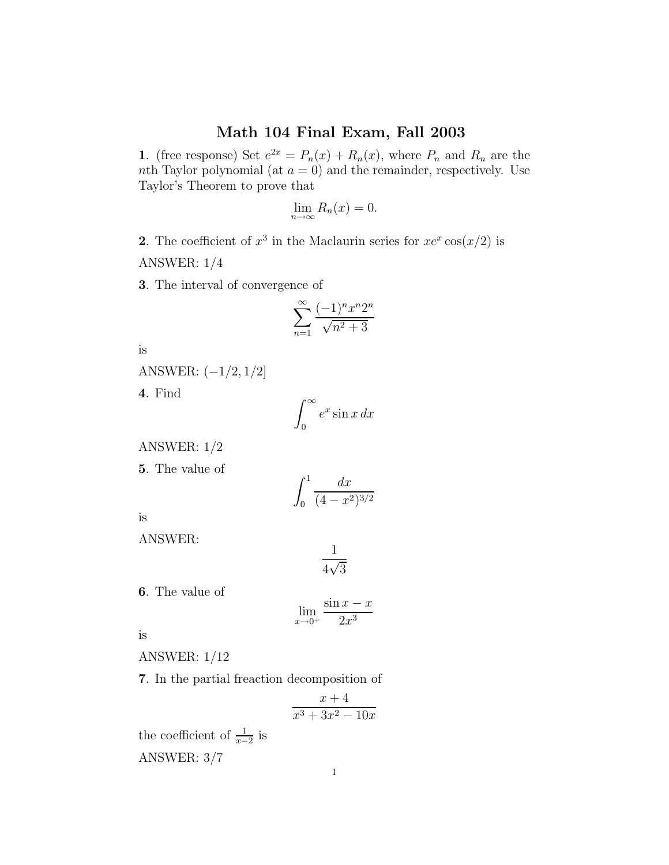## Math 104 Final Exam, Fall 2003

1. (free response) Set  $e^{2x} = P_n(x) + R_n(x)$ , where  $P_n$  and  $R_n$  are the nth Taylor polynomial (at  $a = 0$ ) and the remainder, respectively. Use Taylor's Theorem to prove that

$$
\lim_{n \to \infty} R_n(x) = 0.
$$

2. The coefficient of  $x^3$  in the Maclaurin series for  $xe^x \cos(x/2)$  is

ANSWER: 1/4

3. The interval of convergence of

$$
\sum_{n=1}^{\infty} \frac{(-1)^n x^n 2^n}{\sqrt{n^2 + 3}}
$$

is

ANSWER: (−1/2, <sup>1</sup>/2]

4. Find

$$
\int_0^\infty e^x \sin x \, dx
$$

ANSWER: 1/2

5. The value of

$$
\int_0^1 \frac{dx}{(4 - x^2)^{3/2}}
$$

is

ANSWER:

$$
\frac{1}{4\sqrt{3}}
$$

6. The value of

$$
\lim_{x \to 0^+} \frac{\sin x - x}{2x^3}
$$

is

ANSWER: 1/12

7. In the partial freaction decomposition of

$$
\frac{x+4}{x^3+3x^2-10x}
$$

the coefficient of  $\frac{1}{x-2}$  is ANSWER: 3/7